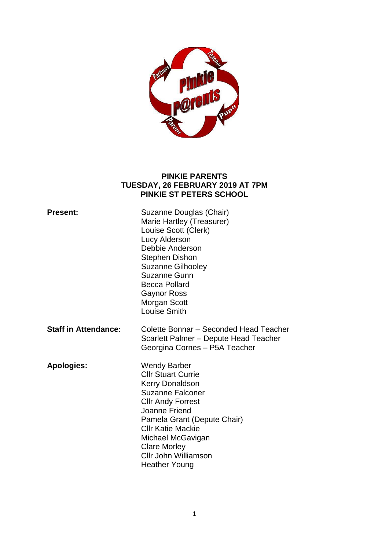

#### **PINKIE PARENTS TUESDAY, 26 FEBRUARY 2019 AT 7PM PINKIE ST PETERS SCHOOL**

| <b>Present:</b>             | Suzanne Douglas (Chair)<br>Marie Hartley (Treasurer)<br>Louise Scott (Clerk)<br>Lucy Alderson<br>Debbie Anderson<br><b>Stephen Dishon</b><br><b>Suzanne Gilhooley</b><br>Suzanne Gunn<br><b>Becca Pollard</b><br><b>Gaynor Ross</b><br>Morgan Scott<br><b>Louise Smith</b>                         |
|-----------------------------|----------------------------------------------------------------------------------------------------------------------------------------------------------------------------------------------------------------------------------------------------------------------------------------------------|
| <b>Staff in Attendance:</b> | Colette Bonnar - Seconded Head Teacher<br>Scarlett Palmer - Depute Head Teacher<br>Georgina Cornes - P5A Teacher                                                                                                                                                                                   |
| <b>Apologies:</b>           | <b>Wendy Barber</b><br><b>CIIr Stuart Currie</b><br>Kerry Donaldson<br><b>Suzanne Falconer</b><br><b>Cllr Andy Forrest</b><br>Joanne Friend<br>Pamela Grant (Depute Chair)<br><b>CIIr Katie Mackie</b><br>Michael McGavigan<br><b>Clare Morley</b><br>Cllr John Williamson<br><b>Heather Young</b> |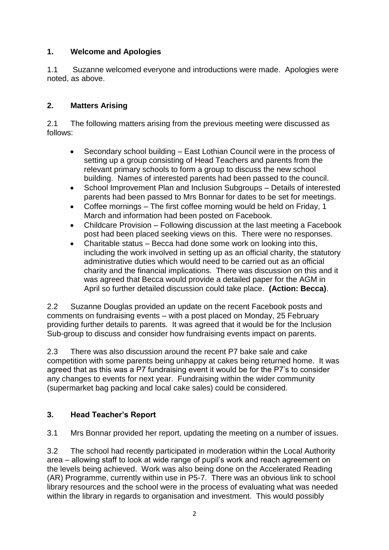## **1. Welcome and Apologies**

1.1 Suzanne welcomed everyone and introductions were made. Apologies were noted, as above.

### **2. Matters Arising**

2.1 The following matters arising from the previous meeting were discussed as follows:

- Secondary school building East Lothian Council were in the process of setting up a group consisting of Head Teachers and parents from the relevant primary schools to form a group to discuss the new school building. Names of interested parents had been passed to the council.
- School Improvement Plan and Inclusion Subgroups Details of interested parents had been passed to Mrs Bonnar for dates to be set for meetings.
- Coffee mornings The first coffee morning would be held on Friday, 1 March and information had been posted on Facebook.
- Childcare Provision Following discussion at the last meeting a Facebook post had been placed seeking views on this. There were no responses.
- Charitable status Becca had done some work on looking into this, including the work involved in setting up as an official charity, the statutory administrative duties which would need to be carried out as an official charity and the financial implications. There was discussion on this and it was agreed that Becca would provide a detailed paper for the AGM in April so further detailed discussion could take place. **(Action: Becca)**.

2.2 Suzanne Douglas provided an update on the recent Facebook posts and comments on fundraising events – with a post placed on Monday, 25 February providing further details to parents. It was agreed that it would be for the Inclusion Sub-group to discuss and consider how fundraising events impact on parents.

2.3 There was also discussion around the recent P7 bake sale and cake competition with some parents being unhappy at cakes being returned home. It was agreed that as this was a P7 fundraising event it would be for the P7's to consider any changes to events for next year. Fundraising within the wider community (supermarket bag packing and local cake sales) could be considered.

# **3. Head Teacher's Report**

3.1 Mrs Bonnar provided her report, updating the meeting on a number of issues.

3.2 The school had recently participated in moderation within the Local Authority area – allowing staff to look at wide range of pupil's work and reach agreement on the levels being achieved. Work was also being done on the Accelerated Reading (AR) Programme, currently within use in P5-7. There was an obvious link to school library resources and the school were in the process of evaluating what was needed within the library in regards to organisation and investment. This would possibly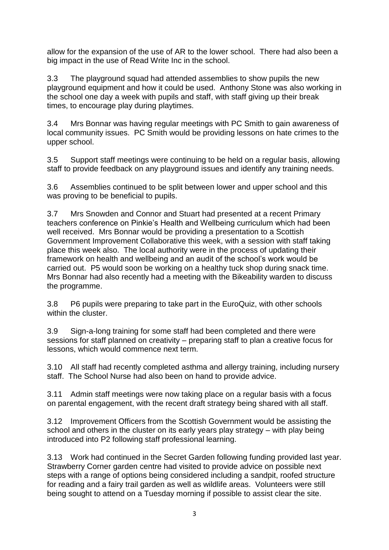allow for the expansion of the use of AR to the lower school. There had also been a big impact in the use of Read Write Inc in the school.

3.3 The playground squad had attended assemblies to show pupils the new playground equipment and how it could be used. Anthony Stone was also working in the school one day a week with pupils and staff, with staff giving up their break times, to encourage play during playtimes.

3.4 Mrs Bonnar was having regular meetings with PC Smith to gain awareness of local community issues. PC Smith would be providing lessons on hate crimes to the upper school.

3.5 Support staff meetings were continuing to be held on a regular basis, allowing staff to provide feedback on any playground issues and identify any training needs.

3.6 Assemblies continued to be split between lower and upper school and this was proving to be beneficial to pupils.

3.7 Mrs Snowden and Connor and Stuart had presented at a recent Primary teachers conference on Pinkie's Health and Wellbeing curriculum which had been well received. Mrs Bonnar would be providing a presentation to a Scottish Government Improvement Collaborative this week, with a session with staff taking place this week also. The local authority were in the process of updating their framework on health and wellbeing and an audit of the school's work would be carried out. P5 would soon be working on a healthy tuck shop during snack time. Mrs Bonnar had also recently had a meeting with the Bikeability warden to discuss the programme.

3.8 P6 pupils were preparing to take part in the EuroQuiz, with other schools within the cluster.

3.9 Sign-a-long training for some staff had been completed and there were sessions for staff planned on creativity – preparing staff to plan a creative focus for lessons, which would commence next term.

3.10 All staff had recently completed asthma and allergy training, including nursery staff. The School Nurse had also been on hand to provide advice.

3.11 Admin staff meetings were now taking place on a regular basis with a focus on parental engagement, with the recent draft strategy being shared with all staff.

3.12 Improvement Officers from the Scottish Government would be assisting the school and others in the cluster on its early years play strategy – with play being introduced into P2 following staff professional learning.

3.13 Work had continued in the Secret Garden following funding provided last year. Strawberry Corner garden centre had visited to provide advice on possible next steps with a range of options being considered including a sandpit, roofed structure for reading and a fairy trail garden as well as wildlife areas. Volunteers were still being sought to attend on a Tuesday morning if possible to assist clear the site.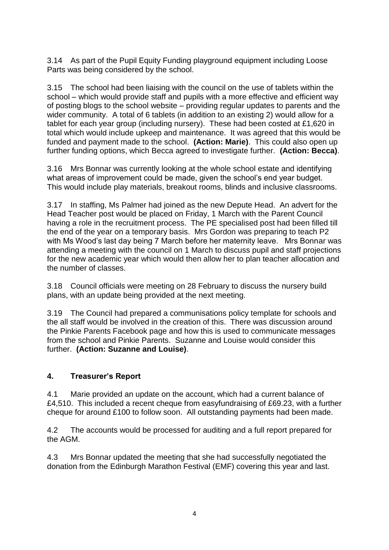3.14 As part of the Pupil Equity Funding playground equipment including Loose Parts was being considered by the school.

3.15 The school had been liaising with the council on the use of tablets within the school – which would provide staff and pupils with a more effective and efficient way of posting blogs to the school website – providing regular updates to parents and the wider community. A total of 6 tablets (in addition to an existing 2) would allow for a tablet for each year group (including nursery). These had been costed at £1,620 in total which would include upkeep and maintenance. It was agreed that this would be funded and payment made to the school. **(Action: Marie)**. This could also open up further funding options, which Becca agreed to investigate further. **(Action: Becca)**.

3.16 Mrs Bonnar was currently looking at the whole school estate and identifying what areas of improvement could be made, given the school's end year budget. This would include play materials, breakout rooms, blinds and inclusive classrooms.

3.17 In staffing, Ms Palmer had joined as the new Depute Head. An advert for the Head Teacher post would be placed on Friday, 1 March with the Parent Council having a role in the recruitment process. The PE specialised post had been filled till the end of the year on a temporary basis. Mrs Gordon was preparing to teach P2 with Ms Wood's last day being 7 March before her maternity leave. Mrs Bonnar was attending a meeting with the council on 1 March to discuss pupil and staff projections for the new academic year which would then allow her to plan teacher allocation and the number of classes.

3.18 Council officials were meeting on 28 February to discuss the nursery build plans, with an update being provided at the next meeting.

3.19 The Council had prepared a communisations policy template for schools and the all staff would be involved in the creation of this. There was discussion around the Pinkie Parents Facebook page and how this is used to communicate messages from the school and Pinkie Parents. Suzanne and Louise would consider this further. **(Action: Suzanne and Louise)**.

### **4. Treasurer's Report**

4.1 Marie provided an update on the account, which had a current balance of £4,510. This included a recent cheque from easyfundraising of £69.23, with a further cheque for around £100 to follow soon. All outstanding payments had been made.

4.2 The accounts would be processed for auditing and a full report prepared for the AGM.

4.3 Mrs Bonnar updated the meeting that she had successfully negotiated the donation from the Edinburgh Marathon Festival (EMF) covering this year and last.